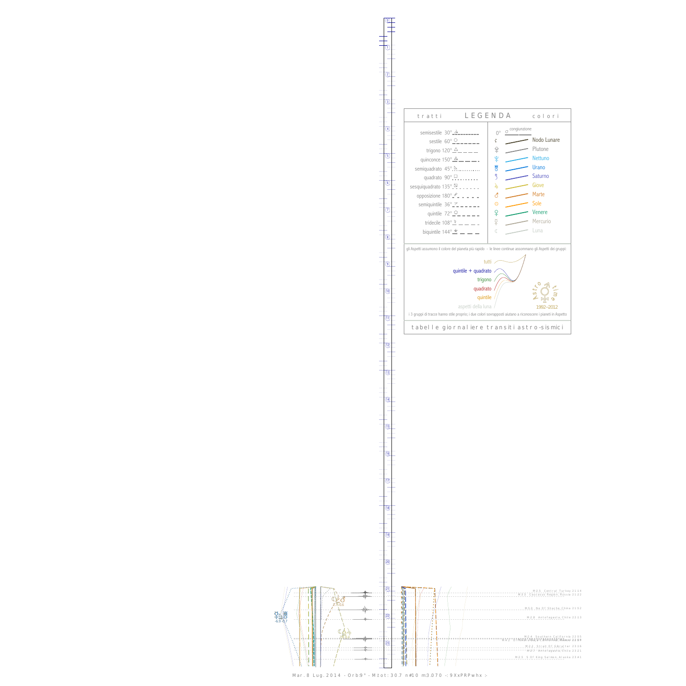BxH -6.9